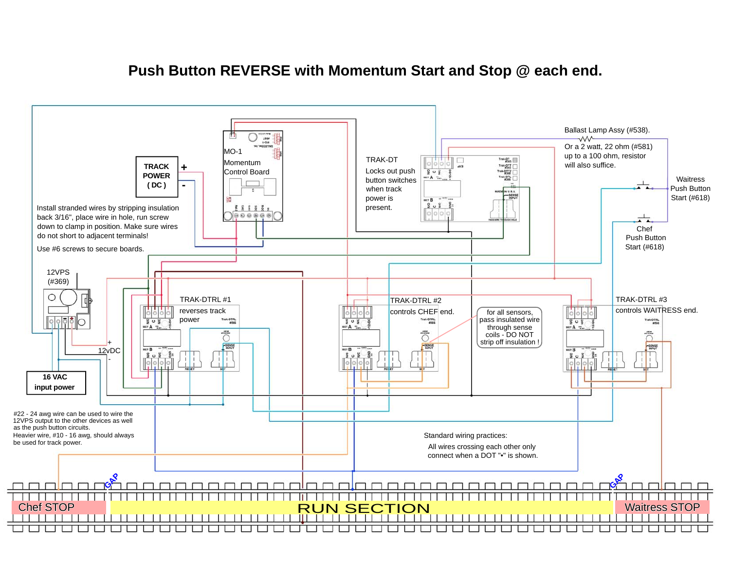## **Push Button REVERSE with Momentum Start and Stop @ each end.**